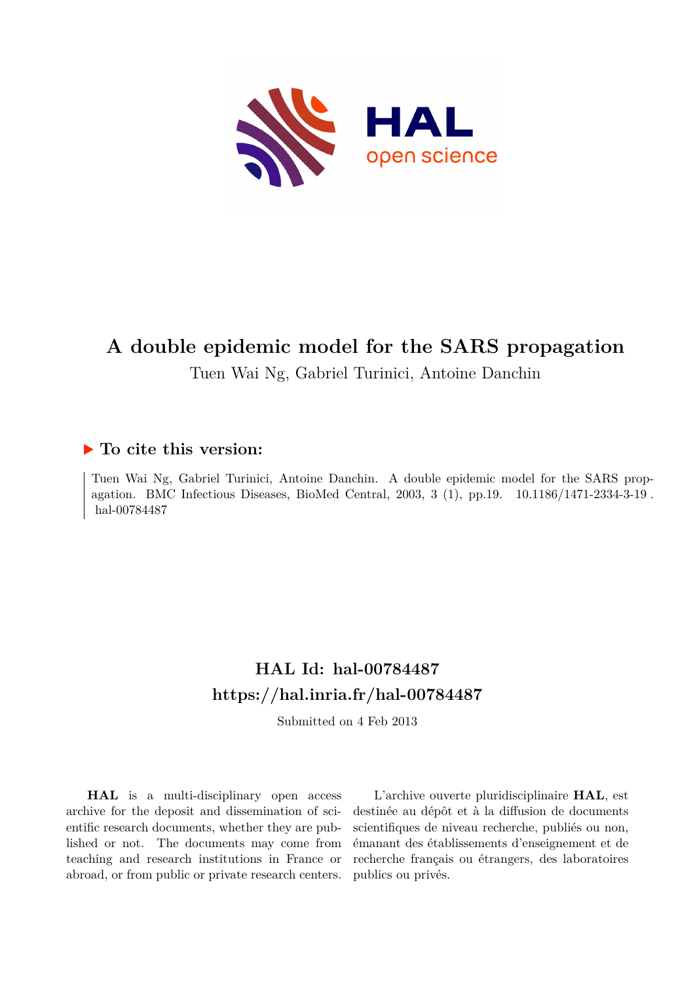

# **A double epidemic model for the SARS propagation**

Tuen Wai Ng, Gabriel Turinici, Antoine Danchin

# **To cite this version:**

Tuen Wai Ng, Gabriel Turinici, Antoine Danchin. A double epidemic model for the SARS propagation. BMC Infectious Diseases, BioMed Central, 2003, 3 (1), pp.19. 10.1186/1471-2334-3-19. hal-00784487

# **HAL Id: hal-00784487 <https://hal.inria.fr/hal-00784487>**

Submitted on 4 Feb 2013

**HAL** is a multi-disciplinary open access archive for the deposit and dissemination of scientific research documents, whether they are published or not. The documents may come from teaching and research institutions in France or abroad, or from public or private research centers.

L'archive ouverte pluridisciplinaire **HAL**, est destinée au dépôt et à la diffusion de documents scientifiques de niveau recherche, publiés ou non, émanant des établissements d'enseignement et de recherche français ou étrangers, des laboratoires publics ou privés.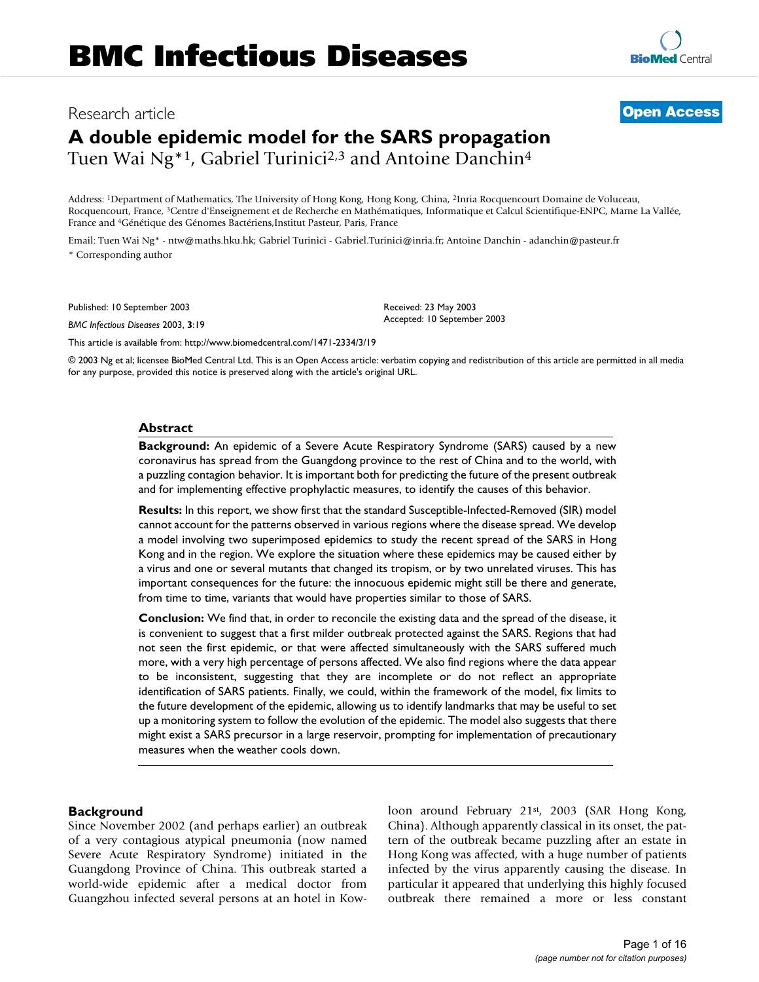# Research article **Contract Contract Contract Contract Contract Contract Contract Contract Contract Contract Contract Contract Contract Contract Contract Contract Contract Contract Contract Contract Contract Contract Contra**

# **A double epidemic model for the SARS propagation** Tuen Wai Ng<sup>\*1</sup>, Gabriel Turinici<sup>2,3</sup> and Antoine Danchin<sup>4</sup>

Address: <sup>1</sup>Department of Mathematics, The University of Hong Kong, Hong Kong, China, <sup>2</sup>Inria Rocquencourt Domaine de Voluceau, Rocquencourt, France, <sup>3</sup>Centre d'Enseignement et de Recherche en Mathématiques, Informatique et Calcul Scientifique-ENPC, Marne La Vallée, France and <sup>4</sup>Génétique des Génomes Bactériens,Institut Pasteur, Paris, France

Email: Tuen Wai Ng\* - ntw@maths.hku.hk; Gabriel Turinici - Gabriel.Turinici@inria.fr; Antoine Danchin - adanchin@pasteur.fr \* Corresponding author

Published: 10 September 2003

*BMC Infectious Diseases* 2003, **3**:19

[This article is available from: http://www.biomedcentral.com/1471-2334/3/19](http://www.biomedcentral.com/1471-2334/3/19)

© 2003 Ng et al; licensee BioMed Central Ltd. This is an Open Access article: verbatim copying and redistribution of this article are permitted in all media for any purpose, provided this notice is preserved along with the article's original URL.

#### **Abstract**

**Background:** An epidemic of a Severe Acute Respiratory Syndrome (SARS) caused by a new coronavirus has spread from the Guangdong province to the rest of China and to the world, with a puzzling contagion behavior. It is important both for predicting the future of the present outbreak and for implementing effective prophylactic measures, to identify the causes of this behavior.

**Results:** In this report, we show first that the standard Susceptible-Infected-Removed (SIR) model cannot account for the patterns observed in various regions where the disease spread. We develop a model involving two superimposed epidemics to study the recent spread of the SARS in Hong Kong and in the region. We explore the situation where these epidemics may be caused either by a virus and one or several mutants that changed its tropism, or by two unrelated viruses. This has important consequences for the future: the innocuous epidemic might still be there and generate, from time to time, variants that would have properties similar to those of SARS.

**Conclusion:** We find that, in order to reconcile the existing data and the spread of the disease, it is convenient to suggest that a first milder outbreak protected against the SARS. Regions that had not seen the first epidemic, or that were affected simultaneously with the SARS suffered much more, with a very high percentage of persons affected. We also find regions where the data appear to be inconsistent, suggesting that they are incomplete or do not reflect an appropriate identification of SARS patients. Finally, we could, within the framework of the model, fix limits to the future development of the epidemic, allowing us to identify landmarks that may be useful to set up a monitoring system to follow the evolution of the epidemic. The model also suggests that there might exist a SARS precursor in a large reservoir, prompting for implementation of precautionary measures when the weather cools down.

#### **Background**

Since November 2002 (and perhaps earlier) an outbreak of a very contagious atypical pneumonia (now named Severe Acute Respiratory Syndrome) initiated in the Guangdong Province of China. This outbreak started a world-wide epidemic after a medical doctor from Guangzhou infected several persons at an hotel in Kowloon around February 21<sup>st</sup>, 2003 (SAR Hong Kong, China). Although apparently classical in its onset, the pattern of the outbreak became puzzling after an estate in Hong Kong was affected, with a huge number of patients infected by the virus apparently causing the disease. In particular it appeared that underlying this highly focused outbreak there remained a more or less constant



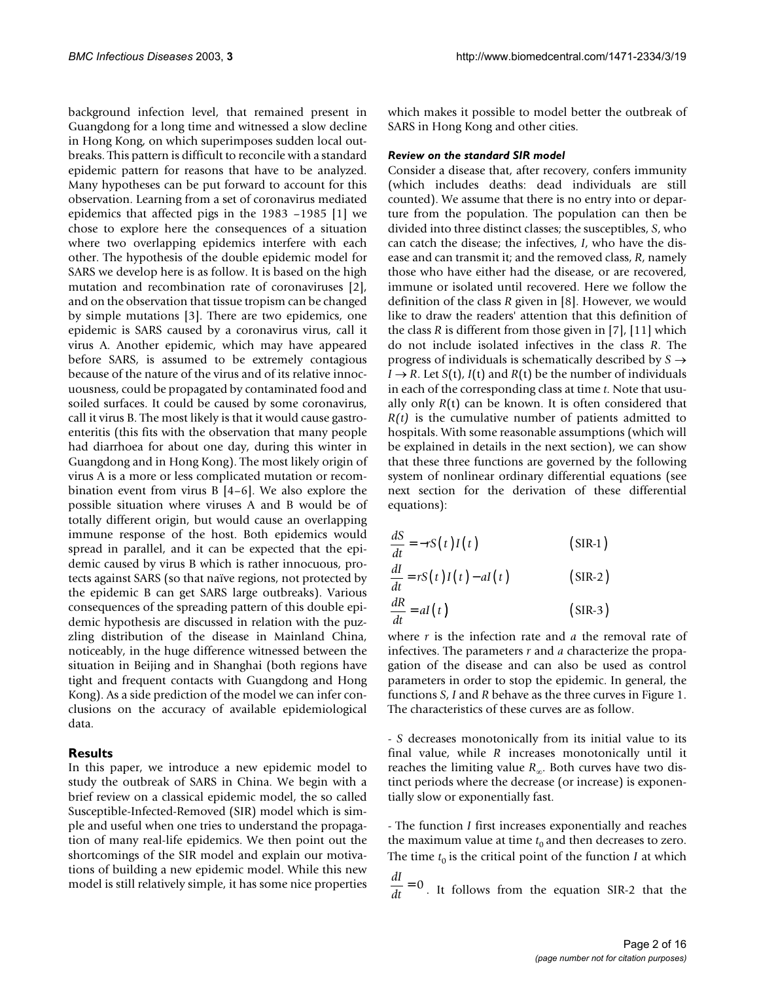background infection level, that remained present in Guangdong for a long time and witnessed a slow decline in Hong Kong, on which superimposes sudden local outbreaks. This pattern is difficult to reconcile with a standard epidemic pattern for reasons that have to be analyzed. Many hypotheses can be put forward to account for this observation. Learning from a set of coronavirus mediated epidemics that affected pigs in the 1983 –1985 [1] we chose to explore here the consequences of a situation where two overlapping epidemics interfere with each other. The hypothesis of the double epidemic model for SARS we develop here is as follow. It is based on the high mutation and recombination rate of coronaviruses [2], and on the observation that tissue tropism can be changed by simple mutations [3]. There are two epidemics, one epidemic is SARS caused by a coronavirus virus, call it virus A. Another epidemic, which may have appeared before SARS, is assumed to be extremely contagious because of the nature of the virus and of its relative innocuousness, could be propagated by contaminated food and soiled surfaces. It could be caused by some coronavirus, call it virus B. The most likely is that it would cause gastroenteritis (this fits with the observation that many people had diarrhoea for about one day, during this winter in Guangdong and in Hong Kong). The most likely origin of virus A is a more or less complicated mutation or recombination event from virus B [4–6]. We also explore the possible situation where viruses A and B would be of totally different origin, but would cause an overlapping immune response of the host. Both epidemics would spread in parallel, and it can be expected that the epidemic caused by virus B which is rather innocuous, protects against SARS (so that naïve regions, not protected by the epidemic B can get SARS large outbreaks). Various consequences of the spreading pattern of this double epidemic hypothesis are discussed in relation with the puzzling distribution of the disease in Mainland China, noticeably, in the huge difference witnessed between the situation in Beijing and in Shanghai (both regions have tight and frequent contacts with Guangdong and Hong Kong). As a side prediction of the model we can infer conclusions on the accuracy of available epidemiological data.

#### **Results**

In this paper, we introduce a new epidemic model to study the outbreak of SARS in China. We begin with a brief review on a classical epidemic model, the so called Susceptible-Infected-Removed (SIR) model which is simple and useful when one tries to understand the propagation of many real-life epidemics. We then point out the shortcomings of the SIR model and explain our motivations of building a new epidemic model. While this new model is still relatively simple, it has some nice properties

which makes it possible to model better the outbreak of SARS in Hong Kong and other cities.

#### *Review on the standard SIR model*

Consider a disease that, after recovery, confers immunity (which includes deaths: dead individuals are still counted). We assume that there is no entry into or departure from the population. The population can then be divided into three distinct classes; the susceptibles, *S*, who can catch the disease; the infectives, *I*, who have the disease and can transmit it; and the removed class, *R*, namely those who have either had the disease, or are recovered, immune or isolated until recovered. Here we follow the definition of the class *R* given in [8]. However, we would like to draw the readers' attention that this definition of the class *R* is different from those given in [7], [11] which do not include isolated infectives in the class *R*. The progress of individuals is schematically described by *S* →  $I \rightarrow R$ . Let *S*(t), *I*(t) and *R*(t) be the number of individuals in each of the corresponding class at time *t*. Note that usually only *R*(t) can be known. It is often considered that *R(t)* is the cumulative number of patients admitted to hospitals. With some reasonable assumptions (which will be explained in details in the next section), we can show that these three functions are governed by the following system of nonlinear ordinary differential equations (see next section for the derivation of these differential equations):

$$
\frac{dS}{dt} = -rS(t)I(t)
$$
 (SIR-1)  
\n
$$
\frac{dI}{dt} = rS(t)I(t) - aI(t)
$$
 (SIR-2)  
\n
$$
\frac{dR}{dt} = aI(t)
$$
 (SIR-3)

where *r* is the infection rate and *a* the removal rate of infectives. The parameters *r* and *a* characterize the propagation of the disease and can also be used as control parameters in order to stop the epidemic. In general, the functions *S*, *I* and *R* behave as the three curves in Figure [1.](#page-3-0) The characteristics of these curves are as follow.

- *S* decreases monotonically from its initial value to its final value, while *R* increases monotonically until it reaches the limiting value *R*<sup>∞</sup> . Both curves have two distinct periods where the decrease (or increase) is exponentially slow or exponentially fast.

- The function *I* first increases exponentially and reaches the maximum value at time  $t_0$  and then decreases to zero. The time  $t_0$  is the critical point of the function *I* at which *dI*

. It follows from the equation SIR-2 that the  $\frac{du}{dt} = 0$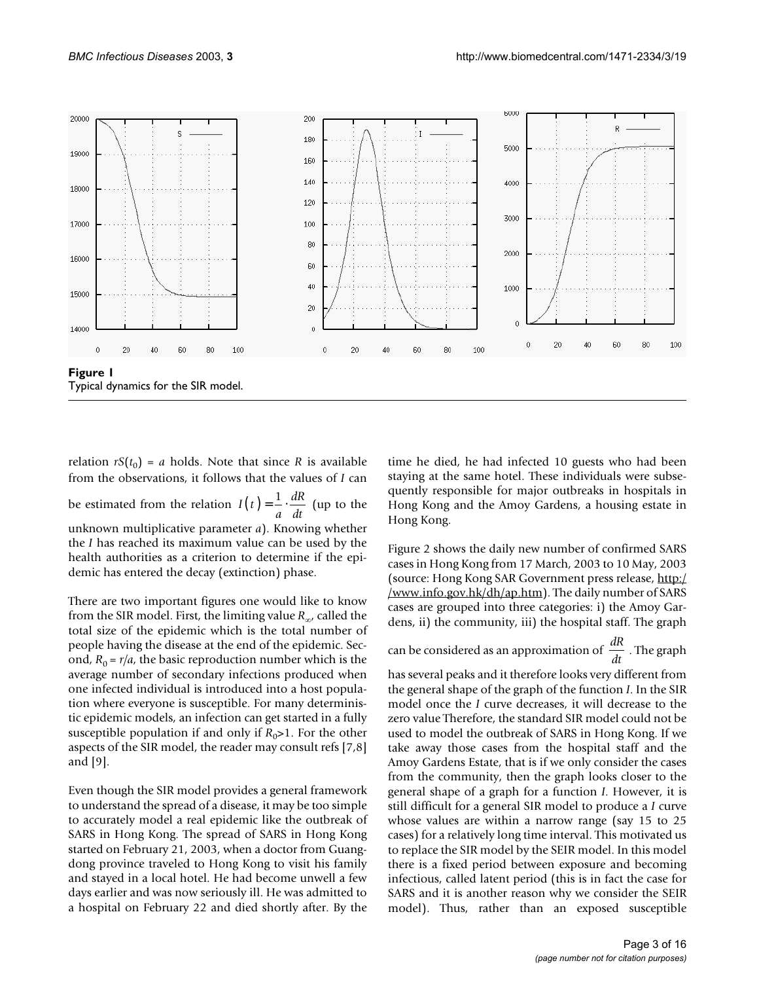<span id="page-3-0"></span>

 $relation rs(t_0) = a$  holds. Note that since *R* is available from the observations, it follows that the values of *I* can be estimated from the relation  $I(t) = \frac{1}{a} \cdot \frac{d\mathbf{r}}{dt}$  (up to the unknown multiplicative parameter *a*). Knowing whether  $\left(t\right) = \frac{1}{a} \cdot \frac{dR}{dt}$ 

the *I* has reached its maximum value can be used by the health authorities as a criterion to determine if the epidemic has entered the decay (extinction) phase.

There are two important figures one would like to know from the SIR model. First, the limiting value *R*<sup>∞</sup> , called the total size of the epidemic which is the total number of people having the disease at the end of the epidemic. Second,  $R_0 = r/a$ , the basic reproduction number which is the average number of secondary infections produced when one infected individual is introduced into a host population where everyone is susceptible. For many deterministic epidemic models, an infection can get started in a fully susceptible population if and only if  $R_0 > 1$ . For the other aspects of the SIR model, the reader may consult refs [7,8] and [9].

Even though the SIR model provides a general framework to understand the spread of a disease, it may be too simple to accurately model a real epidemic like the outbreak of SARS in Hong Kong. The spread of SARS in Hong Kong started on February 21, 2003, when a doctor from Guangdong province traveled to Hong Kong to visit his family and stayed in a local hotel. He had become unwell a few days earlier and was now seriously ill. He was admitted to a hospital on February 22 and died shortly after. By the

time he died, he had infected 10 guests who had been staying at the same hotel. These individuals were subsequently responsible for major outbreaks in hospitals in Hong Kong and the Amoy Gardens, a housing estate in Hong Kong.

Figure 2 shows the daily new number of confirmed SARS cases in Hong Kong from 17 March, 2003 to 10 May, 2003 (source: Hong Kong SAR Government press release, [http:/](http://www.info.gov.hk/dh/ap.htm) [/www.info.gov.hk/dh/ap.htm\)](http://www.info.gov.hk/dh/ap.htm). The daily number of SARS cases are grouped into three categories: i) the Amoy Gardens, ii) the community, iii) the hospital staff. The graph

can be considered as an approximation of 
$$
\frac{dR}{dt}
$$
. The graph

has several peaks and it therefore looks very different from the general shape of the graph of the function *I*. In the SIR model once the *I* curve decreases, it will decrease to the zero value Therefore, the standard SIR model could not be used to model the outbreak of SARS in Hong Kong. If we take away those cases from the hospital staff and the Amoy Gardens Estate, that is if we only consider the cases from the community, then the graph looks closer to the general shape of a graph for a function *I*. However, it is still difficult for a general SIR model to produce a *I* curve whose values are within a narrow range (say 15 to 25 cases) for a relatively long time interval. This motivated us to replace the SIR model by the SEIR model. In this model there is a fixed period between exposure and becoming infectious, called latent period (this is in fact the case for SARS and it is another reason why we consider the SEIR model). Thus, rather than an exposed susceptible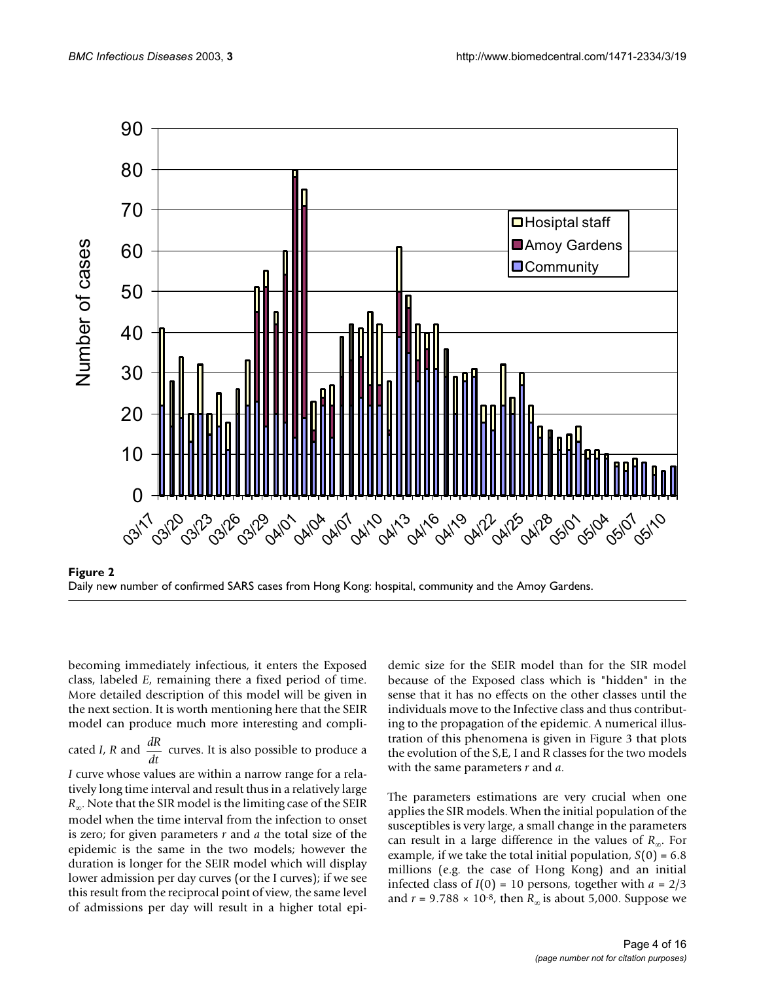

becoming immediately infectious, it enters the Exposed class, labeled *E*, remaining there a fixed period of time. More detailed description of this model will be given in the next section. It is worth mentioning here that the SEIR model can produce much more interesting and compli-

cated *I*, *R* and  $\frac{dR}{dt}$  curves. It is also possible to produce a *I* curve whose values are within a narrow range for a relatively long time interval and result thus in a relatively large *R*<sub>∞</sub>. Note that the SIR model is the limiting case of the SEIR model when the time interval from the infection to onset is zero; for given parameters *r* and *a* the total size of the epidemic is the same in the two models; however the duration is longer for the SEIR model which will display lower admission per day curves (or the I curves); if we see this result from the reciprocal point of view, the same level of admissions per day will result in a higher total epi*dt*

demic size for the SEIR model than for the SIR model because of the Exposed class which is "hidden" in the sense that it has no effects on the other classes until the individuals move to the Infective class and thus contributing to the propagation of the epidemic. A numerical illustration of this phenomena is given in Figure 3 that plots the evolution of the S,E, I and R classes for the two models with the same parameters *r* and *a*.

The parameters estimations are very crucial when one applies the SIR models. When the initial population of the susceptibles is very large, a small change in the parameters can result in a large difference in the values of *R*∞. For example, if we take the total initial population,  $S(0) = 6.8$ millions (e.g. the case of Hong Kong) and an initial infected class of  $I(0) = 10$  persons, together with  $a = 2/3$ and  $r = 9.788 \times 10^{-8}$ , then  $R_{\infty}$  is about 5,000. Suppose we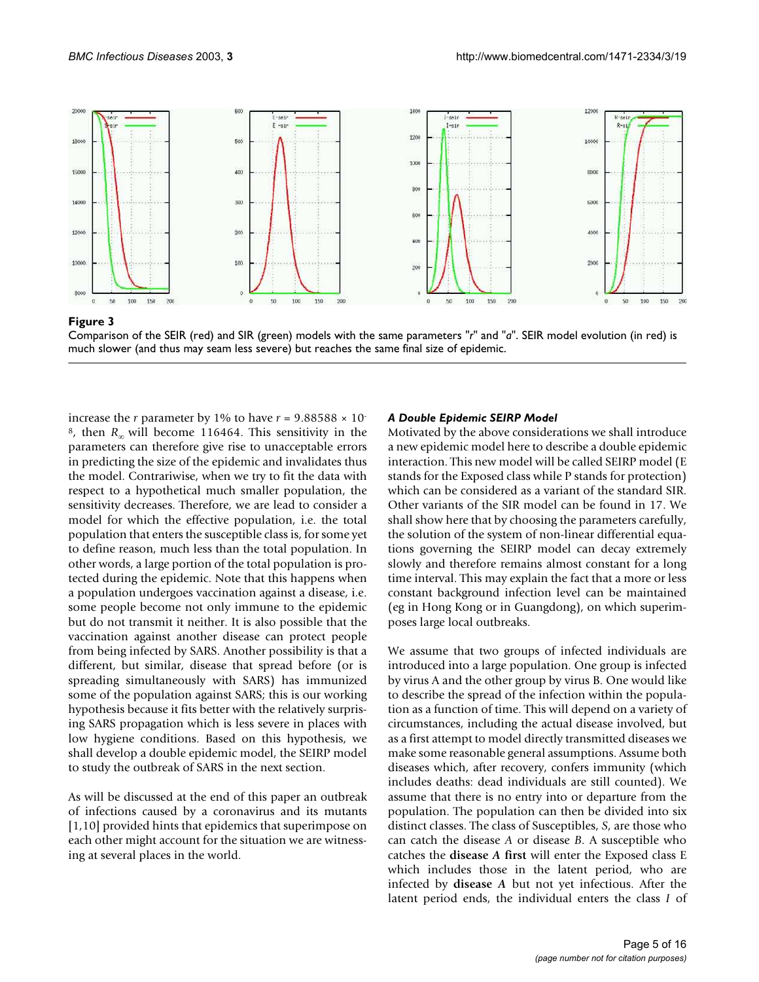

# **Figure 3** Comparison of the SEIR (red) and SIR (green) models with the same parameters "*r*" and "*a*"

Comparison of the SEIR (red) and SIR (green) models with the same parameters "*r*" and "*a*". SEIR model evolution (in red) is much slower (and thus may seam less severe) but reaches the same final size of epidemic.

increase the *r* parameter by 1% to have  $r = 9.88588 \times 10^{-7}$ <sup>8</sup>, then *R*<sup>∞</sup> will become 116464. This sensitivity in the parameters can therefore give rise to unacceptable errors in predicting the size of the epidemic and invalidates thus the model. Contrariwise, when we try to fit the data with respect to a hypothetical much smaller population, the sensitivity decreases. Therefore, we are lead to consider a model for which the effective population, i.e. the total population that enters the susceptible class is, for some yet to define reason, much less than the total population. In other words, a large portion of the total population is protected during the epidemic. Note that this happens when a population undergoes vaccination against a disease, i.e. some people become not only immune to the epidemic but do not transmit it neither. It is also possible that the vaccination against another disease can protect people from being infected by SARS. Another possibility is that a different, but similar, disease that spread before (or is spreading simultaneously with SARS) has immunized some of the population against SARS; this is our working hypothesis because it fits better with the relatively surprising SARS propagation which is less severe in places with low hygiene conditions. Based on this hypothesis, we shall develop a double epidemic model, the SEIRP model to study the outbreak of SARS in the next section.

As will be discussed at the end of this paper an outbreak of infections caused by a coronavirus and its mutants [1,10] provided hints that epidemics that superimpose on each other might account for the situation we are witnessing at several places in the world.

# *A Double Epidemic SEIRP Model*

Motivated by the above considerations we shall introduce a new epidemic model here to describe a double epidemic interaction. This new model will be called SEIRP model (E stands for the Exposed class while P stands for protection) which can be considered as a variant of the standard SIR. Other variants of the SIR model can be found in 17. We shall show here that by choosing the parameters carefully, the solution of the system of non-linear differential equations governing the SEIRP model can decay extremely slowly and therefore remains almost constant for a long time interval. This may explain the fact that a more or less constant background infection level can be maintained (eg in Hong Kong or in Guangdong), on which superimposes large local outbreaks.

We assume that two groups of infected individuals are introduced into a large population. One group is infected by virus A and the other group by virus B. One would like to describe the spread of the infection within the population as a function of time. This will depend on a variety of circumstances, including the actual disease involved, but as a first attempt to model directly transmitted diseases we make some reasonable general assumptions. Assume both diseases which, after recovery, confers immunity (which includes deaths: dead individuals are still counted). We assume that there is no entry into or departure from the population. The population can then be divided into six distinct classes. The class of Susceptibles, *S*, are those who can catch the disease *A* or disease *B*. A susceptible who catches the **disease** *A* **first** will enter the Exposed class E which includes those in the latent period, who are infected by **disease** *A* but not yet infectious. After the latent period ends, the individual enters the class *I* of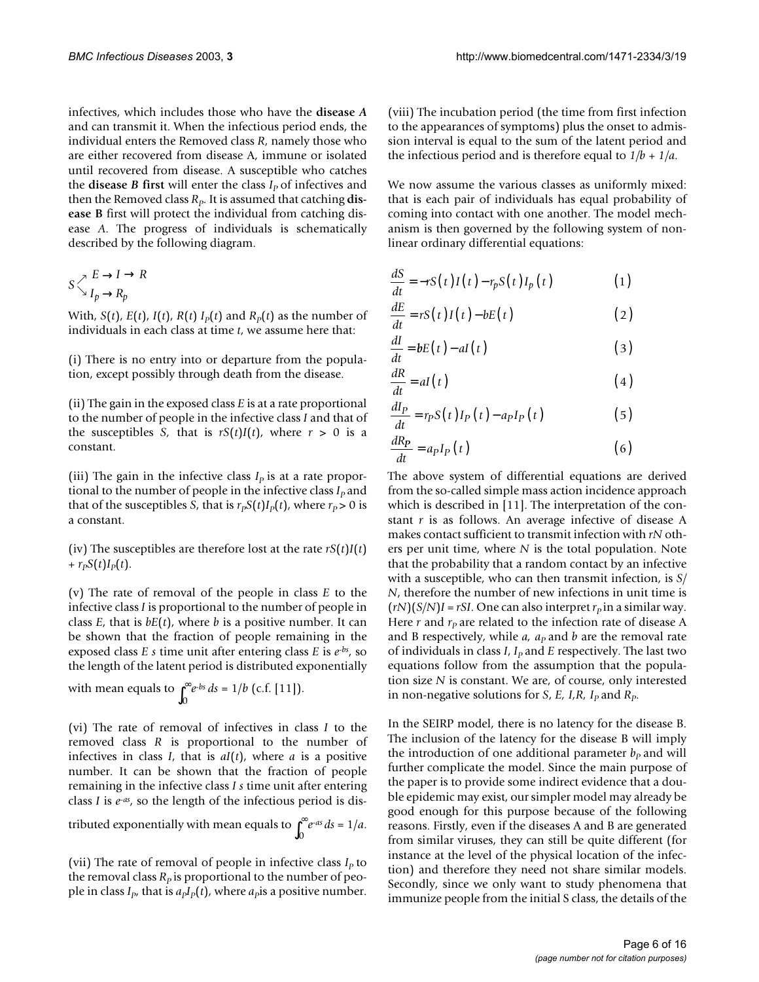infectives, which includes those who have the **disease** *A* and can transmit it. When the infectious period ends, the individual enters the Removed class *R*, namely those who are either recovered from disease A, immune or isolated until recovered from disease. A susceptible who catches the **disease** *B* first will enter the class  $I_p$  of infectives and then the Removed class *R<sup>P</sup>* . It is assumed that catching **disease B** first will protect the individual from catching disease *A*. The progress of individuals is schematically described by the following diagram.

$$
S \bigotimes_{I_p \to R_p}^{E \to I \to R} R
$$

With, S(*t*),  $E(t)$ ,  $I(t)$ ,  $R(t)$   $I_p(t)$  and  $R_p(t)$  as the number of individuals in each class at time *t*, we assume here that:

(i) There is no entry into or departure from the population, except possibly through death from the disease.

(ii) The gain in the exposed class *E* is at a rate proportional to the number of people in the infective class *I* and that of the susceptibles *S*, that is  $rS(t)I(t)$ , where  $r > 0$  is a constant.

(iii) The gain in the infective class  $I_p$  is at a rate proportional to the number of people in the infective class  $I_p$  and that of the susceptibles *S*, that is  $r_p S(t) I_p(t)$ , where  $r_p > 0$  is a constant.

(iv) The susceptibles are therefore lost at the rate *rS*(*t*)*I*(*t*) +  $r_P S(t)I_P(t)$ .

(v) The rate of removal of the people in class *E* to the infective class *I* is proportional to the number of people in class *E*, that is *bE*(*t*), where *b* is a positive number. It can be shown that the fraction of people remaining in the exposed class *E s* time unit after entering class *E* is *e* -*bs*, so the length of the latent period is distributed exponentially

with mean equals to  $\int_{0}^{\infty} e^{-bs} ds = 1/b$  (c.f. [11]). 0  $\int_0^\infty$ 

(vi) The rate of removal of infectives in class *I* to the removed class *R* is proportional to the number of infectives in class *I*, that is *aI*(*t*), where *a* is a positive number. It can be shown that the fraction of people remaining in the infective class *I s* time unit after entering class *I* is *e* -*as*, so the length of the infectious period is dis-

tributed exponentially with mean equals to  $\int_{-\infty}^{\infty} e^{-as} ds = 1/a$ . 0  $\int_0^\infty$ 

(vii) The rate of removal of people in infective class  $I_p$  to the removal class  $R_p$  is proportional to the number of people in class  $I_P$ , that is  $a_P I_P(t)$ , where  $a_P$ is a positive number. (viii) The incubation period (the time from first infection to the appearances of symptoms) plus the onset to admission interval is equal to the sum of the latent period and the infectious period and is therefore equal to *1/b* + *1/a*.

We now assume the various classes as uniformly mixed: that is each pair of individuals has equal probability of coming into contact with one another. The model mechanism is then governed by the following system of nonlinear ordinary differential equations:

$$
\frac{dS}{dt} = -rS(t)I(t) - r_pS(t)I_p(t)
$$
\n(1)

$$
\frac{dE}{dt} = rS(t)I(t) - bE(t)
$$
 (2)

$$
\frac{dI}{dt} = bE(t) - aI(t)
$$
\n(3)

$$
\frac{dR}{dt} = aI(t) \tag{4}
$$

$$
\frac{dI_P}{dt} = r_P S(t) I_P(t) - a_P I_P(t)
$$
\n(5)

$$
\frac{dR_P}{dt} = a_P I_P(t) \tag{6}
$$

The above system of differential equations are derived from the so-called simple mass action incidence approach which is described in [11]. The interpretation of the constant *r* is as follows. An average infective of disease A makes contact sufficient to transmit infection with *rN* others per unit time, where *N* is the total population. Note that the probability that a random contact by an infective with a susceptible, who can then transmit infection, is *S/ N*, therefore the number of new infections in unit time is  $(rN)(S/N)I = rSI$ . One can also interpret  $r<sub>P</sub>$  in a similar way. Here  $r$  and  $r_p$  are related to the infection rate of disease A and B respectively, while *a*, *a*<sub>*P*</sub> and *b* are the removal rate of individuals in class *I*, *IP* and *E* respectively. The last two equations follow from the assumption that the population size *N* is constant. We are, of course, only interested in non-negative solutions for *S*, *E, I,R, IP* and *R<sup>P</sup>* .

In the SEIRP model, there is no latency for the disease B. The inclusion of the latency for the disease B will imply the introduction of one additional parameter  $b_p$  and will further complicate the model. Since the main purpose of the paper is to provide some indirect evidence that a double epidemic may exist, our simpler model may already be good enough for this purpose because of the following reasons. Firstly, even if the diseases A and B are generated from similar viruses, they can still be quite different (for instance at the level of the physical location of the infection) and therefore they need not share similar models. Secondly, since we only want to study phenomena that immunize people from the initial S class, the details of the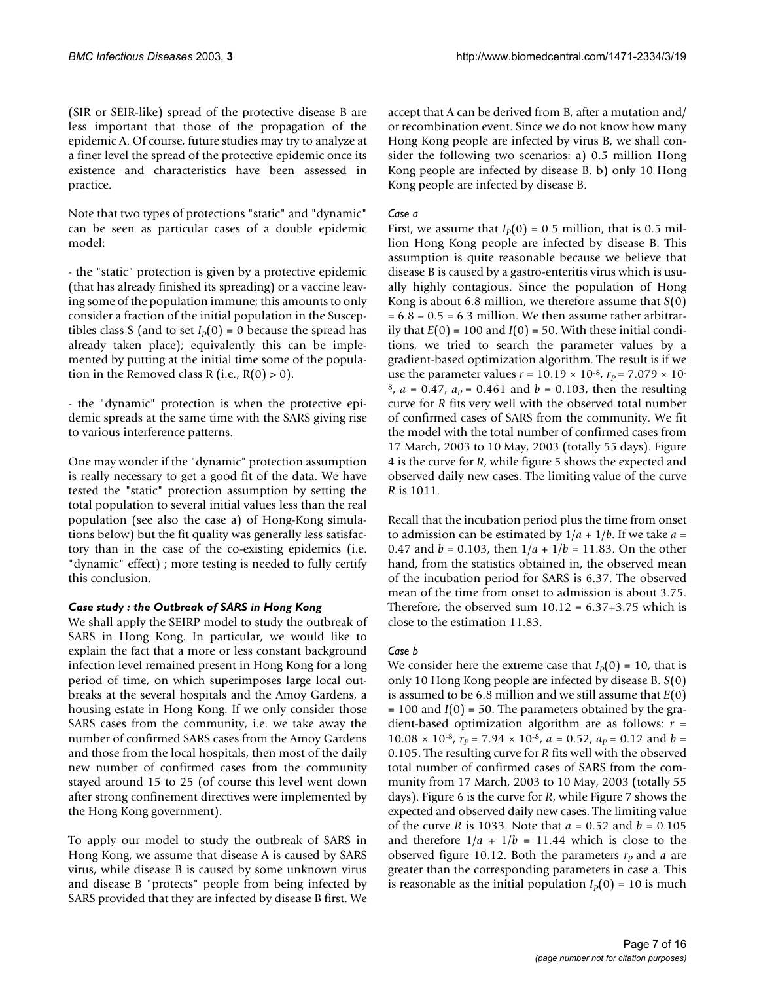(SIR or SEIR-like) spread of the protective disease B are less important that those of the propagation of the epidemic A. Of course, future studies may try to analyze at a finer level the spread of the protective epidemic once its existence and characteristics have been assessed in practice.

Note that two types of protections "static" and "dynamic" can be seen as particular cases of a double epidemic model:

- the "static" protection is given by a protective epidemic (that has already finished its spreading) or a vaccine leaving some of the population immune; this amounts to only consider a fraction of the initial population in the Susceptibles class S (and to set  $I_p(0) = 0$  because the spread has already taken place); equivalently this can be implemented by putting at the initial time some of the population in the Removed class R (i.e.,  $R(0) > 0$ ).

- the "dynamic" protection is when the protective epidemic spreads at the same time with the SARS giving rise to various interference patterns.

One may wonder if the "dynamic" protection assumption is really necessary to get a good fit of the data. We have tested the "static" protection assumption by setting the total population to several initial values less than the real population (see also the case a) of Hong-Kong simulations below) but the fit quality was generally less satisfactory than in the case of the co-existing epidemics (i.e. "dynamic" effect) ; more testing is needed to fully certify this conclusion.

# *Case study : the Outbreak of SARS in Hong Kong*

We shall apply the SEIRP model to study the outbreak of SARS in Hong Kong. In particular, we would like to explain the fact that a more or less constant background infection level remained present in Hong Kong for a long period of time, on which superimposes large local outbreaks at the several hospitals and the Amoy Gardens, a housing estate in Hong Kong. If we only consider those SARS cases from the community, i.e. we take away the number of confirmed SARS cases from the Amoy Gardens and those from the local hospitals, then most of the daily new number of confirmed cases from the community stayed around 15 to 25 (of course this level went down after strong confinement directives were implemented by the Hong Kong government).

To apply our model to study the outbreak of SARS in Hong Kong, we assume that disease A is caused by SARS virus, while disease B is caused by some unknown virus and disease B "protects" people from being infected by SARS provided that they are infected by disease B first. We accept that A can be derived from B, after a mutation and/ or recombination event. Since we do not know how many Hong Kong people are infected by virus B, we shall consider the following two scenarios: a) 0.5 million Hong Kong people are infected by disease B. b) only 10 Hong Kong people are infected by disease B.

### *Case a*

First, we assume that  $I_p(0) = 0.5$  million, that is 0.5 million Hong Kong people are infected by disease B. This assumption is quite reasonable because we believe that disease B is caused by a gastro-enteritis virus which is usually highly contagious. Since the population of Hong Kong is about 6.8 million, we therefore assume that *S*(0)  $= 6.8 - 0.5 = 6.3$  million. We then assume rather arbitrarily that  $E(0) = 100$  and  $I(0) = 50$ . With these initial conditions, we tried to search the parameter values by a gradient-based optimization algorithm. The result is if we use the parameter values  $r = 10.19 \times 10^{-8}$ ,  $r_p = 7.079 \times 10^{-7}$  $^{8}$ , *a* = 0.47, *a*<sub>*P*</sub> = 0.461 and *b* = 0.103, then the resulting curve for *R* fits very well with the observed total number of confirmed cases of SARS from the community. We fit the model with the total number of confirmed cases from 17 March, 2003 to 10 May, 2003 (totally 55 days). Figure [4](#page-8-0) is the curve for *R*, while figure [5](#page-9-0) shows the expected and observed daily new cases. The limiting value of the curve *R* is 1011.

Recall that the incubation period plus the time from onset to admission can be estimated by  $1/a + 1/b$ . If we take  $a =$ 0.47 and  $b = 0.103$ , then  $1/a + 1/b = 11.83$ . On the other hand, from the statistics obtained in, the observed mean of the incubation period for SARS is 6.37. The observed mean of the time from onset to admission is about 3.75. Therefore, the observed sum  $10.12 = 6.37+3.75$  which is close to the estimation 11.83.

# *Case b*

We consider here the extreme case that *I<sup>P</sup>* (0) = 10, that is only 10 Hong Kong people are infected by disease B. *S*(0) is assumed to be 6.8 million and we still assume that *E*(0)  $= 100$  and  $I(0) = 50$ . The parameters obtained by the gradient-based optimization algorithm are as follows: *r* =  $10.08 \times 10^{-8}$ ,  $r_p = 7.94 \times 10^{-8}$ ,  $a = 0.52$ ,  $a_p = 0.12$  and  $b =$ 0.105. The resulting curve for *R* fits well with the observed total number of confirmed cases of SARS from the community from 17 March, 2003 to 10 May, 2003 (totally 55 days). Figure 6 is the curve for *R*, while Figure 7 shows the expected and observed daily new cases. The limiting value of the curve *R* is 1033. Note that *a* = 0.52 and *b* = 0.105 and therefore  $1/a + 1/b = 11.44$  which is close to the observed figure 10.12. Both the parameters  $r_p$  and *a* are greater than the corresponding parameters in case a. This is reasonable as the initial population  $I_p(0) = 10$  is much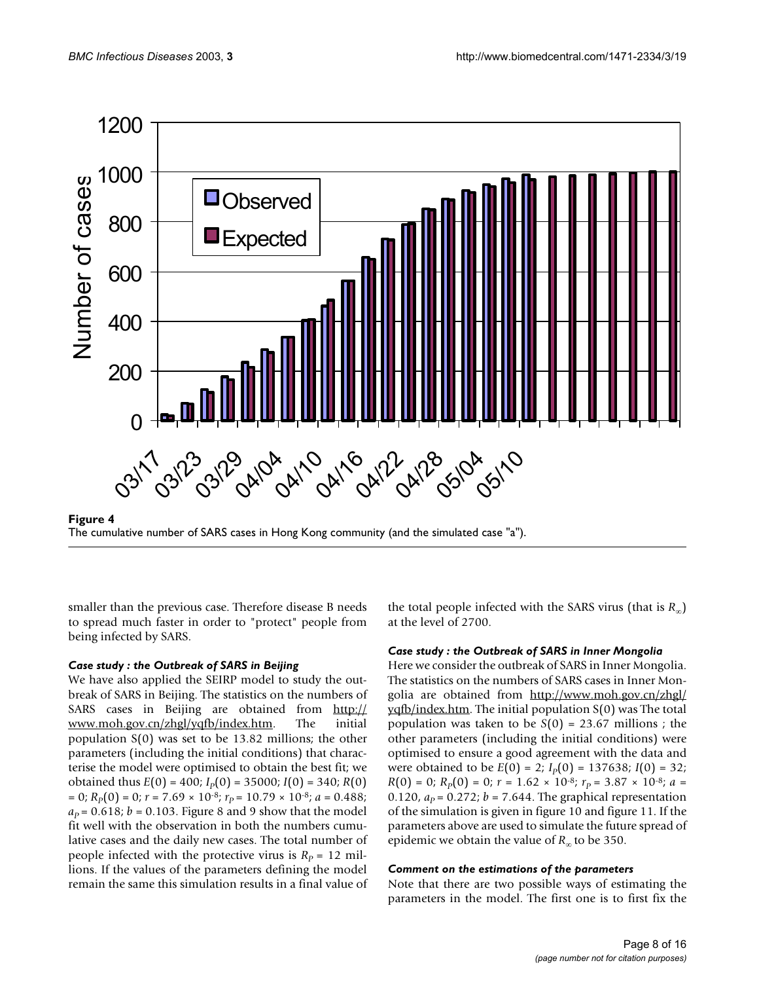<span id="page-8-0"></span>

The cumulative number of SARS cases in Hong Kong community (and the simulated case "a").

smaller than the previous case. Therefore disease B needs to spread much faster in order to "protect" people from being infected by SARS.

# *Case study : the Outbreak of SARS in Beijing*

We have also applied the SEIRP model to study the outbreak of SARS in Beijing. The statistics on the numbers of SARS cases in Beijing are obtained from [http://](http://www.moh.gov.cn/zhgl/yqfb/index.htm) [www.moh.gov.cn/zhgl/yqfb/index.htm](http://www.moh.gov.cn/zhgl/yqfb/index.htm). The initial population S(0) was set to be 13.82 millions; the other parameters (including the initial conditions) that characterise the model were optimised to obtain the best fit; we obtained thus *E*(0) = 400; *I<sup>P</sup>* (0) = 35000; *I*(0) = 340; *R*(0)  $= 0; R_p(0) = 0; r = 7.69 \times 10^{-8}; r_p = 10.79 \times 10^{-8}; a = 0.488;$  $a_p = 0.618$ ;  $b = 0.103$ . Figure [8](#page-12-0) and [9](#page-12-1) show that the model fit well with the observation in both the numbers cumulative cases and the daily new cases. The total number of people infected with the protective virus is  $R_p = 12$  millions. If the values of the parameters defining the model remain the same this simulation results in a final value of

the total people infected with the SARS virus (that is *R*<sup>∞</sup> ) at the level of 2700.

# *Case study : the Outbreak of SARS in Inner Mongolia*

Here we consider the outbreak of SARS in Inner Mongolia. The statistics on the numbers of SARS cases in Inner Mongolia are obtained from [http://www.moh.gov.cn/zhgl/](http://www.moh.gov.cn/zhgl/yqfb/index.htm) [yqfb/index.htm.](http://www.moh.gov.cn/zhgl/yqfb/index.htm) The initial population S(0) was The total population was taken to be *S*(0) = 23.67 millions ; the other parameters (including the initial conditions) were optimised to ensure a good agreement with the data and were obtained to be *E*(0) = 2; *I<sup>P</sup>* (0) = 137638; *I*(0) = 32;  $R(0) = 0$ ;  $R<sub>P</sub>(0) = 0$ ;  $r = 1.62 \times 10^{-8}$ ;  $r<sub>P</sub> = 3.87 \times 10^{-8}$ ;  $a =$ 0.120,  $a_p = 0.272$ ;  $b = 7.644$ . The graphical representation of the simulation is given in figure [10](#page-13-0) and figure [11](#page-14-0). If the parameters above are used to simulate the future spread of epidemic we obtain the value of  $R_{\infty}$  to be 350.

#### *Comment on the estimations of the parameters*

Note that there are two possible ways of estimating the parameters in the model. The first one is to first fix the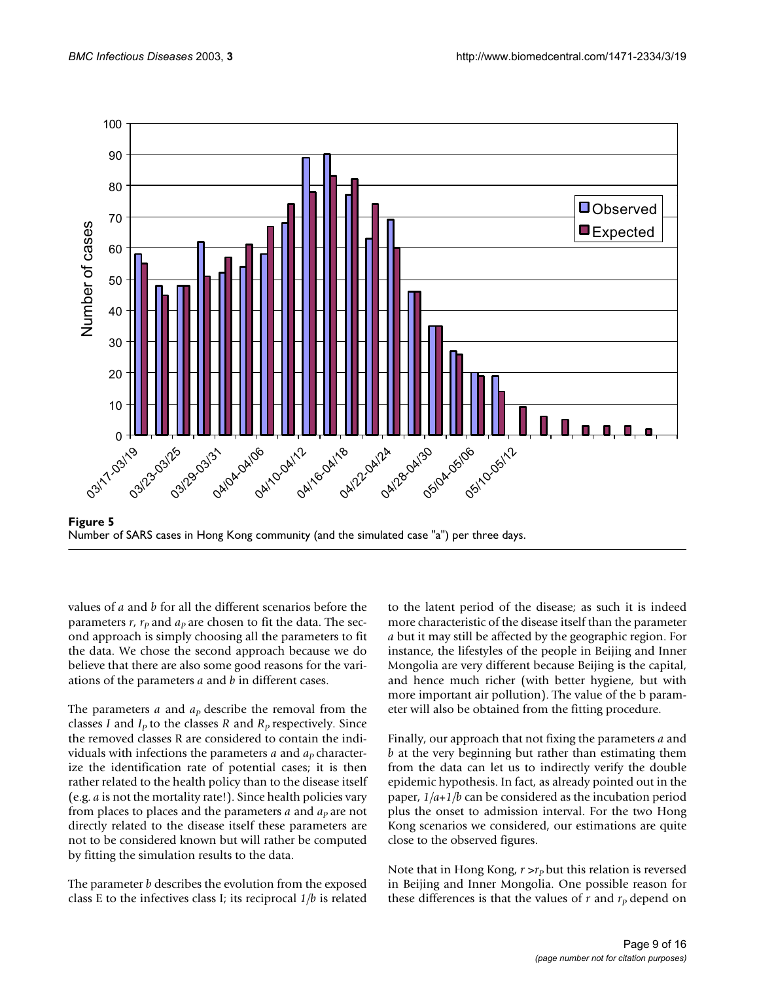<span id="page-9-0"></span>

Number of SARS cases in Hong Kong community (and the simulated case "a") per three days.

values of *a* and *b* for all the different scenarios before the parameters  $r$ ,  $r_p$  and  $a_p$  are chosen to fit the data. The second approach is simply choosing all the parameters to fit the data. We chose the second approach because we do believe that there are also some good reasons for the variations of the parameters *a* and *b* in different cases.

The parameters *a* and  $a_p$  describe the removal from the classes *I* and  $I_p$  to the classes *R* and  $R_p$  respectively. Since the removed classes R are considered to contain the individuals with infections the parameters  $a$  and  $a_p$  characterize the identification rate of potential cases; it is then rather related to the health policy than to the disease itself (e.g. *a* is not the mortality rate!). Since health policies vary from places to places and the parameters  $a$  and  $a_p$  are not directly related to the disease itself these parameters are not to be considered known but will rather be computed by fitting the simulation results to the data.

The parameter *b* describes the evolution from the exposed class E to the infectives class I; its reciprocal *1/b* is related

to the latent period of the disease; as such it is indeed more characteristic of the disease itself than the parameter *a* but it may still be affected by the geographic region. For instance, the lifestyles of the people in Beijing and Inner Mongolia are very different because Beijing is the capital, and hence much richer (with better hygiene, but with more important air pollution). The value of the b parameter will also be obtained from the fitting procedure.

Finally, our approach that not fixing the parameters *a* and *b* at the very beginning but rather than estimating them from the data can let us to indirectly verify the double epidemic hypothesis. In fact, as already pointed out in the paper, *1/a+1/b* can be considered as the incubation period plus the onset to admission interval. For the two Hong Kong scenarios we considered, our estimations are quite close to the observed figures.

Note that in Hong Kong,  $r > r_p$  but this relation is reversed in Beijing and Inner Mongolia. One possible reason for these differences is that the values of  $r$  and  $r_p$  depend on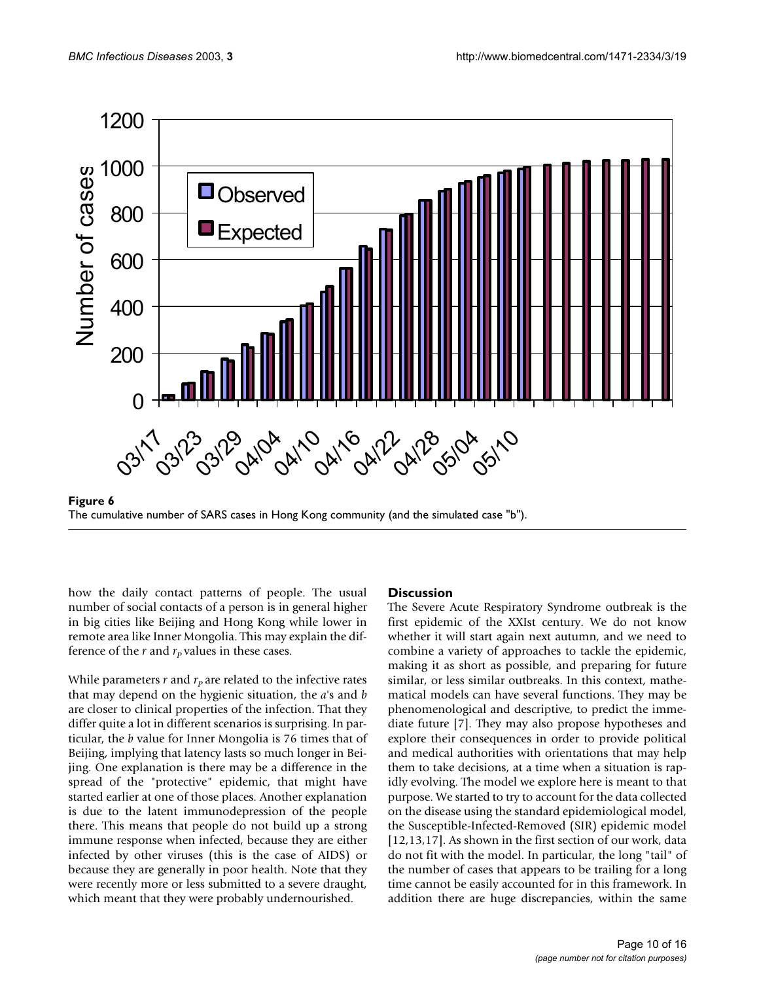

how the daily contact patterns of people. The usual

number of social contacts of a person is in general higher in big cities like Beijing and Hong Kong while lower in remote area like Inner Mongolia. This may explain the difference of the  $r$  and  $r<sub>P</sub>$  values in these cases.

While parameters  $r$  and  $r<sub>p</sub>$  are related to the infective rates that may depend on the hygienic situation, the *a*'s and *b* are closer to clinical properties of the infection. That they differ quite a lot in different scenarios is surprising. In particular, the *b* value for Inner Mongolia is 76 times that of Beijing, implying that latency lasts so much longer in Beijing. One explanation is there may be a difference in the spread of the "protective" epidemic, that might have started earlier at one of those places. Another explanation is due to the latent immunodepression of the people there. This means that people do not build up a strong immune response when infected, because they are either infected by other viruses (this is the case of AIDS) or because they are generally in poor health. Note that they were recently more or less submitted to a severe draught, which meant that they were probably undernourished.

# **Discussion**

The Severe Acute Respiratory Syndrome outbreak is the first epidemic of the XXIst century. We do not know whether it will start again next autumn, and we need to combine a variety of approaches to tackle the epidemic, making it as short as possible, and preparing for future similar, or less similar outbreaks. In this context, mathematical models can have several functions. They may be phenomenological and descriptive, to predict the immediate future [7]. They may also propose hypotheses and explore their consequences in order to provide political and medical authorities with orientations that may help them to take decisions, at a time when a situation is rapidly evolving. The model we explore here is meant to that purpose. We started to try to account for the data collected on the disease using the standard epidemiological model, the Susceptible-Infected-Removed (SIR) epidemic model [12,13,17]. As shown in the first section of our work, data do not fit with the model. In particular, the long "tail" of the number of cases that appears to be trailing for a long time cannot be easily accounted for in this framework. In addition there are huge discrepancies, within the same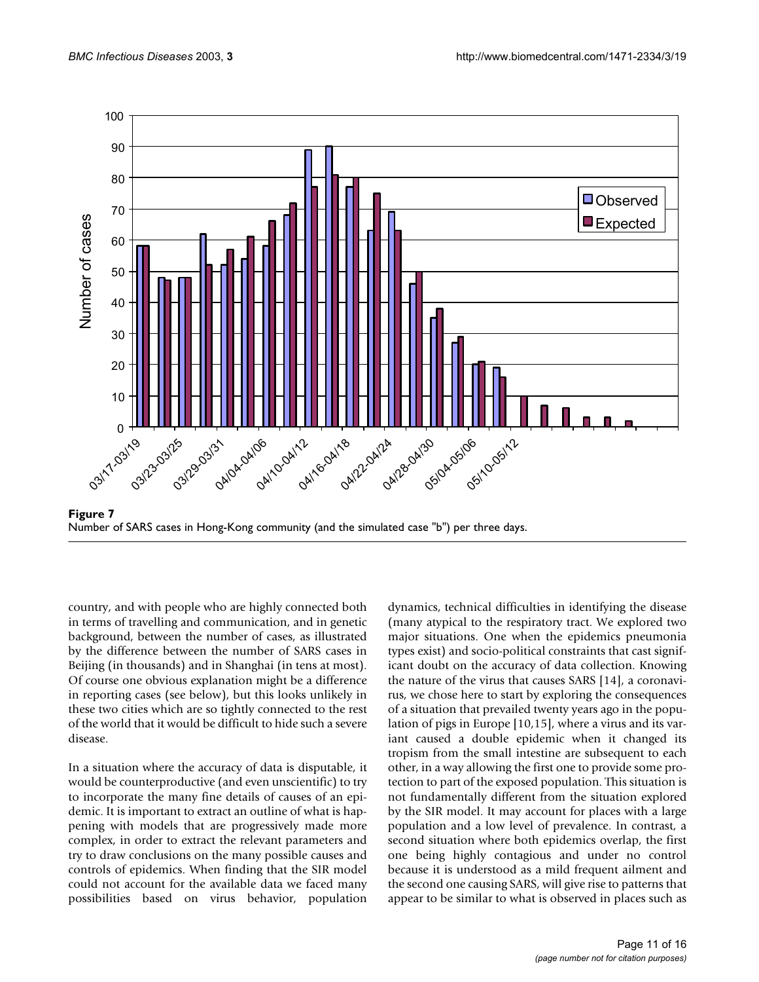

Number of SARS cases in Hong-Kong community (and the simulated case "b") per three days.

country, and with people who are highly connected both in terms of travelling and communication, and in genetic background, between the number of cases, as illustrated by the difference between the number of SARS cases in Beijing (in thousands) and in Shanghai (in tens at most). Of course one obvious explanation might be a difference in reporting cases (see below), but this looks unlikely in these two cities which are so tightly connected to the rest of the world that it would be difficult to hide such a severe disease.

In a situation where the accuracy of data is disputable, it would be counterproductive (and even unscientific) to try to incorporate the many fine details of causes of an epidemic. It is important to extract an outline of what is happening with models that are progressively made more complex, in order to extract the relevant parameters and try to draw conclusions on the many possible causes and controls of epidemics. When finding that the SIR model could not account for the available data we faced many possibilities based on virus behavior, population

dynamics, technical difficulties in identifying the disease (many atypical to the respiratory tract. We explored two major situations. One when the epidemics pneumonia types exist) and socio-political constraints that cast significant doubt on the accuracy of data collection. Knowing the nature of the virus that causes SARS [14], a coronavirus, we chose here to start by exploring the consequences of a situation that prevailed twenty years ago in the population of pigs in Europe [10,15], where a virus and its variant caused a double epidemic when it changed its tropism from the small intestine are subsequent to each other, in a way allowing the first one to provide some protection to part of the exposed population. This situation is not fundamentally different from the situation explored by the SIR model. It may account for places with a large population and a low level of prevalence. In contrast, a second situation where both epidemics overlap, the first one being highly contagious and under no control because it is understood as a mild frequent ailment and the second one causing SARS, will give rise to patterns that appear to be similar to what is observed in places such as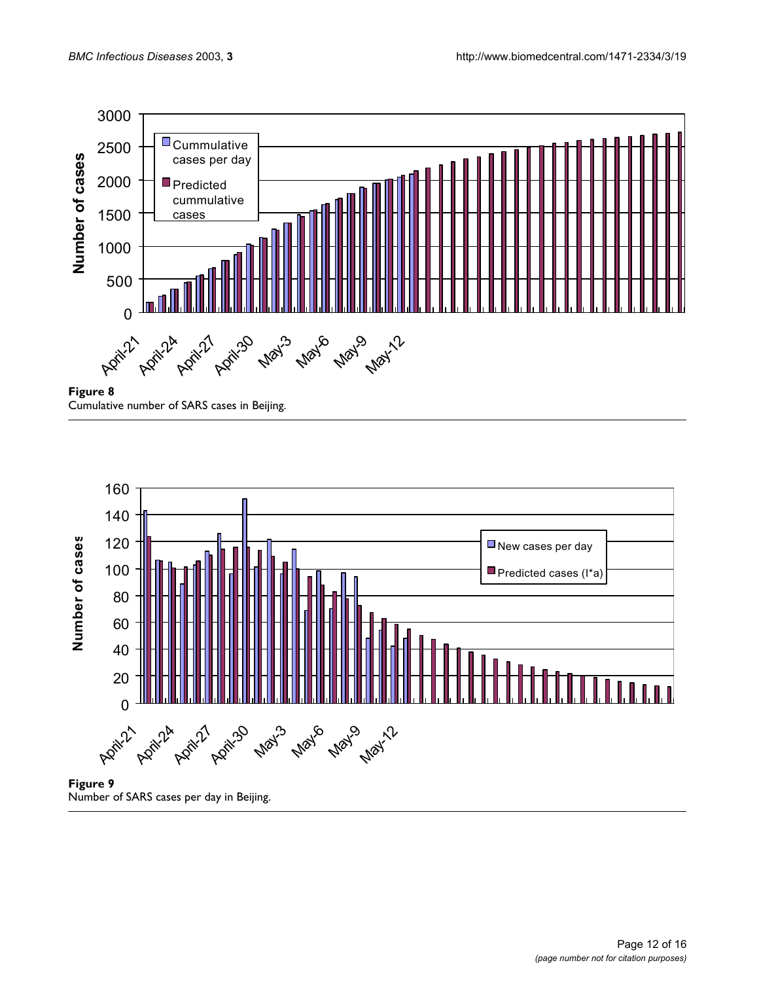<span id="page-12-0"></span>

Cumulative number of SARS cases in Beijing.

<span id="page-12-1"></span>

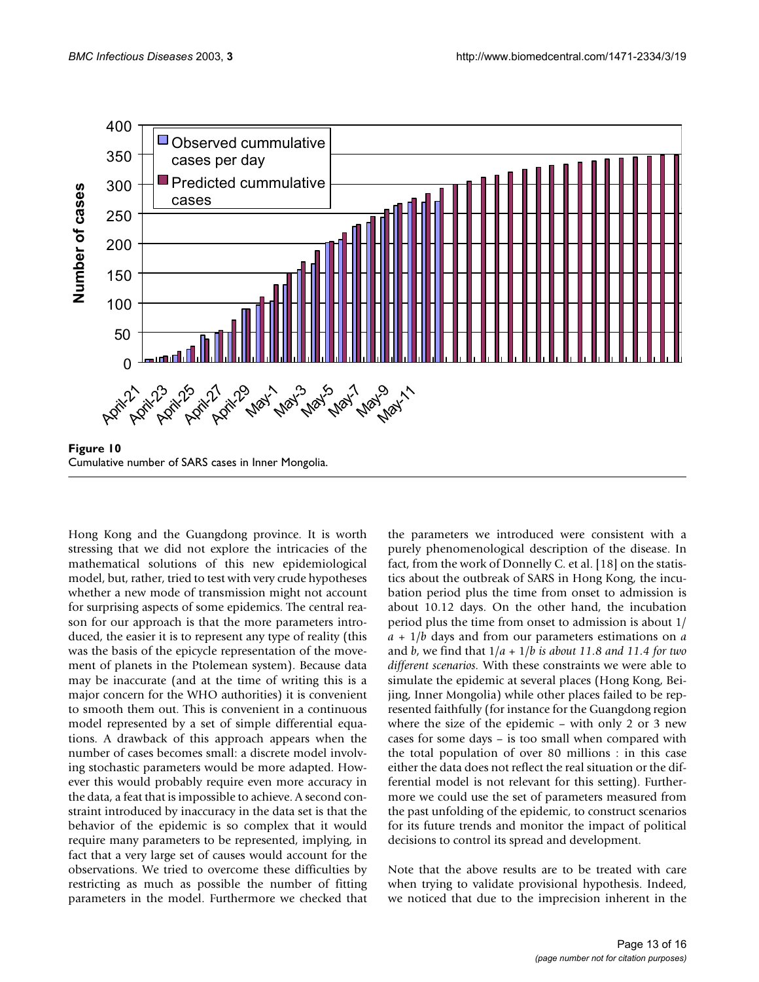<span id="page-13-0"></span>

Hong Kong and the Guangdong province. It is worth stressing that we did not explore the intricacies of the mathematical solutions of this new epidemiological model, but, rather, tried to test with very crude hypotheses whether a new mode of transmission might not account for surprising aspects of some epidemics. The central reason for our approach is that the more parameters introduced, the easier it is to represent any type of reality (this was the basis of the epicycle representation of the movement of planets in the Ptolemean system). Because data may be inaccurate (and at the time of writing this is a major concern for the WHO authorities) it is convenient to smooth them out. This is convenient in a continuous model represented by a set of simple differential equations. A drawback of this approach appears when the number of cases becomes small: a discrete model involving stochastic parameters would be more adapted. However this would probably require even more accuracy in the data, a feat that is impossible to achieve. A second constraint introduced by inaccuracy in the data set is that the behavior of the epidemic is so complex that it would require many parameters to be represented, implying, in fact that a very large set of causes would account for the observations. We tried to overcome these difficulties by restricting as much as possible the number of fitting parameters in the model. Furthermore we checked that the parameters we introduced were consistent with a purely phenomenological description of the disease. In fact, from the work of Donnelly C. et al. [18] on the statistics about the outbreak of SARS in Hong Kong, the incubation period plus the time from onset to admission is about 10.12 days. On the other hand, the incubation period plus the time from onset to admission is about 1/ *a* + 1/*b* days and from our parameters estimations on *a* and *b*, we find that 1/*a* + 1/*b is about 11.8 and 11.4 for two different scenarios.* With these constraints we were able to simulate the epidemic at several places (Hong Kong, Beijing, Inner Mongolia) while other places failed to be represented faithfully (for instance for the Guangdong region where the size of the epidemic – with only 2 or 3 new cases for some days – is too small when compared with the total population of over 80 millions : in this case either the data does not reflect the real situation or the differential model is not relevant for this setting). Furthermore we could use the set of parameters measured from the past unfolding of the epidemic, to construct scenarios for its future trends and monitor the impact of political decisions to control its spread and development.

Note that the above results are to be treated with care when trying to validate provisional hypothesis. Indeed, we noticed that due to the imprecision inherent in the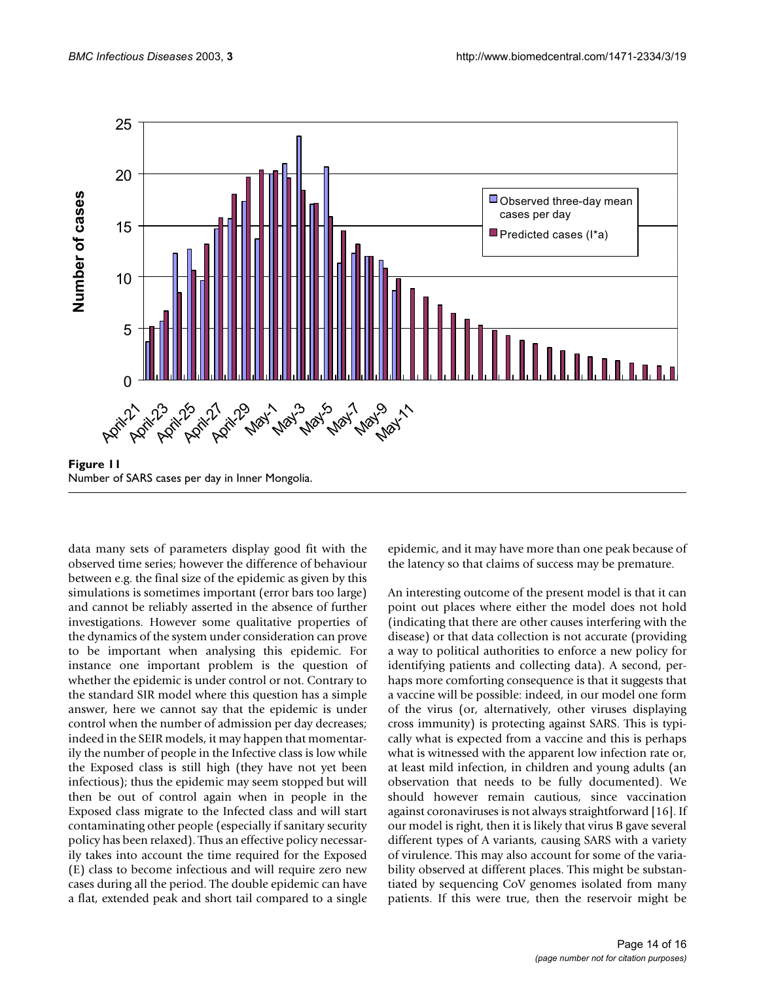<span id="page-14-0"></span>

data many sets of parameters display good fit with the observed time series; however the difference of behaviour between e.g. the final size of the epidemic as given by this simulations is sometimes important (error bars too large) and cannot be reliably asserted in the absence of further investigations. However some qualitative properties of the dynamics of the system under consideration can prove to be important when analysing this epidemic. For instance one important problem is the question of whether the epidemic is under control or not. Contrary to the standard SIR model where this question has a simple answer, here we cannot say that the epidemic is under control when the number of admission per day decreases; indeed in the SEIR models, it may happen that momentarily the number of people in the Infective class is low while the Exposed class is still high (they have not yet been infectious); thus the epidemic may seem stopped but will then be out of control again when in people in the Exposed class migrate to the Infected class and will start contaminating other people (especially if sanitary security policy has been relaxed). Thus an effective policy necessarily takes into account the time required for the Exposed (E) class to become infectious and will require zero new cases during all the period. The double epidemic can have a flat, extended peak and short tail compared to a single epidemic, and it may have more than one peak because of the latency so that claims of success may be premature.

An interesting outcome of the present model is that it can point out places where either the model does not hold (indicating that there are other causes interfering with the disease) or that data collection is not accurate (providing a way to political authorities to enforce a new policy for identifying patients and collecting data). A second, perhaps more comforting consequence is that it suggests that a vaccine will be possible: indeed, in our model one form of the virus (or, alternatively, other viruses displaying cross immunity) is protecting against SARS. This is typically what is expected from a vaccine and this is perhaps what is witnessed with the apparent low infection rate or, at least mild infection, in children and young adults (an observation that needs to be fully documented). We should however remain cautious, since vaccination against coronaviruses is not always straightforward [16]. If our model is right, then it is likely that virus B gave several different types of A variants, causing SARS with a variety of virulence. This may also account for some of the variability observed at different places. This might be substantiated by sequencing CoV genomes isolated from many patients. If this were true, then the reservoir might be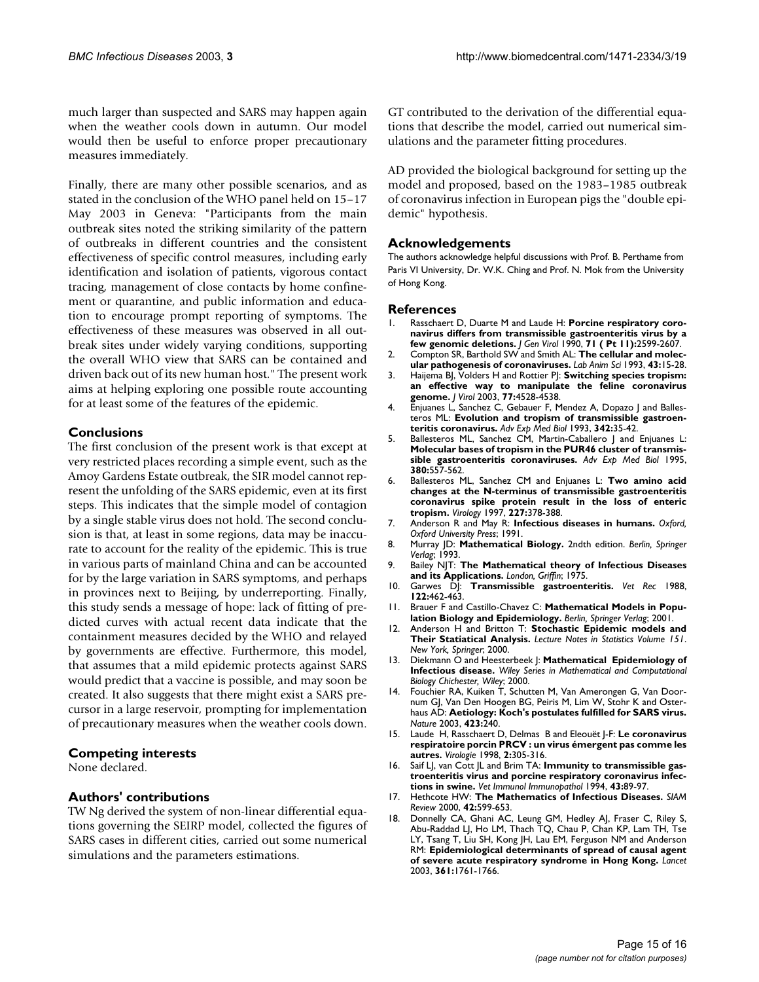much larger than suspected and SARS may happen again when the weather cools down in autumn. Our model would then be useful to enforce proper precautionary measures immediately.

Finally, there are many other possible scenarios, and as stated in the conclusion of the WHO panel held on 15–17 May 2003 in Geneva: "Participants from the main outbreak sites noted the striking similarity of the pattern of outbreaks in different countries and the consistent effectiveness of specific control measures, including early identification and isolation of patients, vigorous contact tracing, management of close contacts by home confinement or quarantine, and public information and education to encourage prompt reporting of symptoms. The effectiveness of these measures was observed in all outbreak sites under widely varying conditions, supporting the overall WHO view that SARS can be contained and driven back out of its new human host." The present work aims at helping exploring one possible route accounting for at least some of the features of the epidemic.

# **Conclusions**

The first conclusion of the present work is that except at very restricted places recording a simple event, such as the Amoy Gardens Estate outbreak, the SIR model cannot represent the unfolding of the SARS epidemic, even at its first steps. This indicates that the simple model of contagion by a single stable virus does not hold. The second conclusion is that, at least in some regions, data may be inaccurate to account for the reality of the epidemic. This is true in various parts of mainland China and can be accounted for by the large variation in SARS symptoms, and perhaps in provinces next to Beijing, by underreporting. Finally, this study sends a message of hope: lack of fitting of predicted curves with actual recent data indicate that the containment measures decided by the WHO and relayed by governments are effective. Furthermore, this model, that assumes that a mild epidemic protects against SARS would predict that a vaccine is possible, and may soon be created. It also suggests that there might exist a SARS precursor in a large reservoir, prompting for implementation of precautionary measures when the weather cools down.

# **Competing interests**

None declared.

# **Authors' contributions**

TW Ng derived the system of non-linear differential equations governing the SEIRP model, collected the figures of SARS cases in different cities, carried out some numerical simulations and the parameters estimations.

GT contributed to the derivation of the differential equations that describe the model, carried out numerical simulations and the parameter fitting procedures.

AD provided the biological background for setting up the model and proposed, based on the 1983–1985 outbreak of coronavirus infection in European pigs the "double epidemic" hypothesis.

### **Acknowledgements**

The authors acknowledge helpful discussions with Prof. B. Perthame from Paris VI University, Dr. W.K. Ching and Prof. N. Mok from the University of Hong Kong.

#### **References**

- Rasschaert D, Duarte M and Laude H: Porcine respiratory coro**navirus differs from transmissible gastroenteritis virus by a few genomic deletions.** *J Gen Virol* 1990, **71 ( Pt 11):**2599-2607.
- 2. Compton SR, Barthold SW and Smith AL: **[The cellular and molec](http://www.ncbi.nlm.nih.gov/entrez/query.fcgi?cmd=Retrieve&db=PubMed&dopt=Abstract&list_uids=8384676)[ular pathogenesis of coronaviruses.](http://www.ncbi.nlm.nih.gov/entrez/query.fcgi?cmd=Retrieve&db=PubMed&dopt=Abstract&list_uids=8384676)** *Lab Anim Sci* 1993, **43:**15-28.
- 3. Haijema BJ, Volders H and Rottier PJ: **[Switching species tropism:](http://www.ncbi.nlm.nih.gov/entrez/query.fcgi?cmd=Retrieve&db=PubMed&dopt=Abstract&list_uids=152114) [an effective way to manipulate the feline coronavirus](http://www.ncbi.nlm.nih.gov/entrez/query.fcgi?cmd=Retrieve&db=PubMed&dopt=Abstract&list_uids=152114) [genome](http://www.ncbi.nlm.nih.gov/entrez/query.fcgi?cmd=Retrieve&db=PubMed&dopt=Abstract&list_uids=152114)[.](http://www.ncbi.nlm.nih.gov/entrez/query.fcgi?cmd=Retrieve&db=PubMed&dopt=Abstract&list_uids=12663759)** *J Virol* 2003, **77:**4528-4538.
- 4. Enjuanes L, Sanchez C, Gebauer F, Mendez A, Dopazo J and Ballesteros ML: **[Evolution and tropism of transmissible gastroen](http://www.ncbi.nlm.nih.gov/entrez/query.fcgi?cmd=Retrieve&db=PubMed&dopt=Abstract&list_uids=8209753)[teritis coronavirus.](http://www.ncbi.nlm.nih.gov/entrez/query.fcgi?cmd=Retrieve&db=PubMed&dopt=Abstract&list_uids=8209753)** *Adv Exp Med Biol* 1993, **342:**35-42.
- 5. Ballesteros ML, Sanchez CM, Martin-Caballero J and Enjuanes L: **[Molecular bases of tropism in the PUR46 cluster of transmis](http://www.ncbi.nlm.nih.gov/entrez/query.fcgi?cmd=Retrieve&db=PubMed&dopt=Abstract&list_uids=8830541)[sible gastroenteritis coronaviruses.](http://www.ncbi.nlm.nih.gov/entrez/query.fcgi?cmd=Retrieve&db=PubMed&dopt=Abstract&list_uids=8830541)** *Adv Exp Med Biol* 1995, **380:**557-562.
- 6. Ballesteros ML, Sanchez CM and Enjuanes L: **[Two amino acid](http://www.ncbi.nlm.nih.gov/entrez/query.fcgi?cmd=Retrieve&db=PubMed&dopt=Abstract&list_uids=9018137) [changes at the N-terminus of transmissible gastroenteritis](http://www.ncbi.nlm.nih.gov/entrez/query.fcgi?cmd=Retrieve&db=PubMed&dopt=Abstract&list_uids=9018137) coronavirus spike protein result in the loss of enteric [tropism.](http://www.ncbi.nlm.nih.gov/entrez/query.fcgi?cmd=Retrieve&db=PubMed&dopt=Abstract&list_uids=9018137)** *Virology* 1997, **227:**378-388.
- 7. Anderson R and May R: **Infectious diseases in humans.** *Oxford, Oxford University Press*; 1991.
- 8. Murray JD: **Mathematical Biology.** 2ndth edition. *Berlin, Springer Verlag*; 1993.
- 9. Bailey NJT: **The Mathematical theory of Infectious Diseases and its Applications.** *London, Griffin*; 1975.
- 10. Garwes DJ: **[Transmissible gastroenteritis.](http://www.ncbi.nlm.nih.gov/entrez/query.fcgi?cmd=Retrieve&db=PubMed&dopt=Abstract&list_uids=2839932)** *Vet Rec* 1988, **122:**462-463.
- 11. Brauer F and Castillo-Chavez C: **Mathematical Models in Population Biology and Epidemiology.** *Berlin, Springer Verlag*; 2001.
- 12. Anderson H and Britton T: **Stochastic Epidemic models and Their Statiatical Analysis.** *Lecture Notes in Statistics Volume 151*. *New York, Springer*; 2000.
- 13. Diekmann O and Heesterbeek J: **Mathematical Epidemiology of Infectious disease.** *Wiley Series in Mathematical and Computational Biology Chichester, Wiley*; 2000.
- 14. Fouchier RA, Kuiken T, Schutten M, Van Amerongen G, Van Doornum GJ, Van Den Hoogen BG, Peiris M, Lim W, Stohr K and Osterhaus AD: **[Aetiology: Koch's postulates fulfilled for SARS virus.](http://www.ncbi.nlm.nih.gov/entrez/query.fcgi?cmd=Retrieve&db=PubMed&dopt=Abstract&list_uids=12748632)** *Nature* 2003, **423:**240.
- 15. Laude H, Rasschaert D, Delmas B and Eleouët J-F: **Le coronavirus respiratoire porcin PRCV : un virus émergent pas comme les autres.** *Virologie* 1998, **2:**305-316.
- 16. Saif LJ, van Cott JL and Brim TA: [Immunity to transmissible gas](http://www.ncbi.nlm.nih.gov/entrez/query.fcgi?cmd=Retrieve&db=PubMed&dopt=Abstract&list_uids=7856068)**[troenteritis virus and porcine respiratory coronavirus infec](http://www.ncbi.nlm.nih.gov/entrez/query.fcgi?cmd=Retrieve&db=PubMed&dopt=Abstract&list_uids=7856068)[tions in swine.](http://www.ncbi.nlm.nih.gov/entrez/query.fcgi?cmd=Retrieve&db=PubMed&dopt=Abstract&list_uids=7856068)** *Vet Immunol Immunopathol* 1994, **43:**89-97.
- 17. Hethcote HW: **The Mathematics of Infectious Diseases.** *SIAM Review* 2000, **42:**599-653.
- 18. Donnelly CA, Ghani AC, Leung GM, Hedley AJ, Fraser C, Riley S, Abu-Raddad LJ, Ho LM, Thach TQ, Chau P, Chan KP, Lam TH, Tse LY, Tsang T, Liu SH, Kong JH, Lau EM, Ferguson NM and Anderson RM: **[Epidemiological determinants of spread of causal agent](http://www.ncbi.nlm.nih.gov/entrez/query.fcgi?cmd=Retrieve&db=PubMed&dopt=Abstract&list_uids=12781533) [of severe acute respiratory syndrome in Hong Kong.](http://www.ncbi.nlm.nih.gov/entrez/query.fcgi?cmd=Retrieve&db=PubMed&dopt=Abstract&list_uids=12781533)** *Lancet* 2003, **361:**1761-1766.